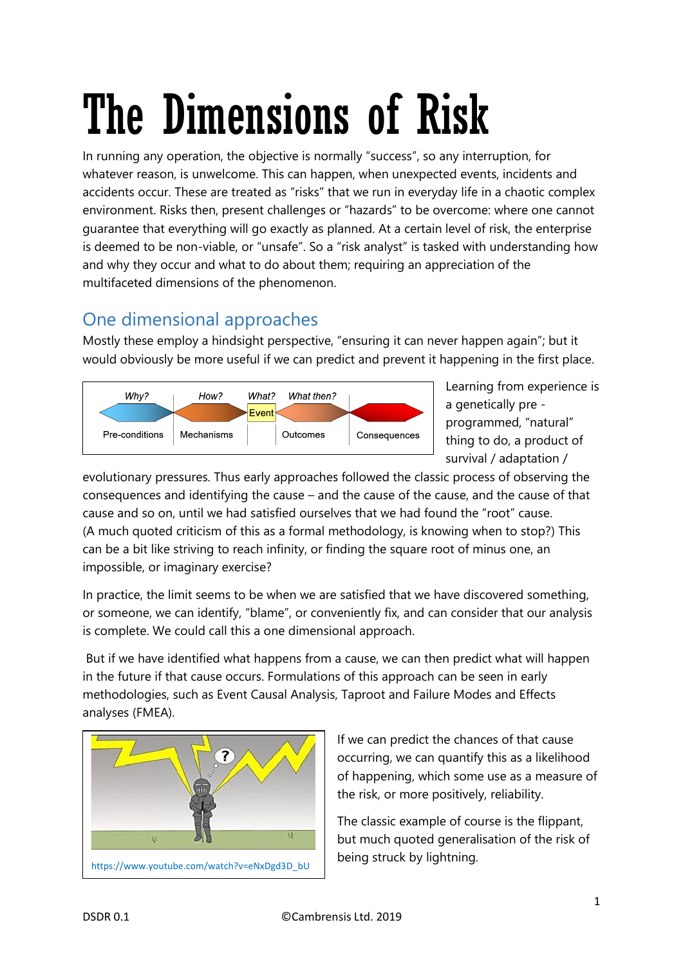# The Dimensions of Risk

In running any operation, the objective is normally "success", so any interruption, for whatever reason, is unwelcome. This can happen, when unexpected events, incidents and accidents occur. These are treated as "risks" that we run in everyday life in a chaotic complex environment. Risks then, present challenges or "hazards" to be overcome: where one cannot guarantee that everything will go exactly as planned. At a certain level of risk, the enterprise is deemed to be non-viable, or "unsafe". So a "risk analyst" is tasked with understanding how and why they occur and what to do about them; requiring an appreciation of the multifaceted dimensions of the phenomenon.

## One dimensional approaches

Mostly these employ a hindsight perspective, "ensuring it can never happen again"; but it would obviously be more useful if we can predict and prevent it happening in the first place.



Learning from experience is a genetically pre programmed, "natural" thing to do, a product of survival / adaptation /

evolutionary pressures. Thus early approaches followed the classic process of observing the consequences and identifying the cause – and the cause of the cause, and the cause of that cause and so on, until we had satisfied ourselves that we had found the "root" cause. (A much quoted criticism of this as a formal methodology, is knowing when to stop?) This can be a bit like striving to reach infinity, or finding the square root of minus one, an impossible, or imaginary exercise?

In practice, the limit seems to be when we are satisfied that we have discovered something, or someone, we can identify, "blame", or conveniently fix, and can consider that our analysis is complete. We could call this a one dimensional approach.

But if we have identified what happens from a cause, we can then predict what will happen in the future if that cause occurs. Formulations of this approach can be seen in early methodologies, such as Event Causal Analysis, Taproot and Failure Modes and Effects analyses (FMEA).



If we can predict the chances of that cause occurring, we can quantify this as a likelihood of happening, which some use as a measure of the risk, or more positively, reliability.

The classic example of course is the flippant, but much quoted generalisation of the risk of being struck by lightning.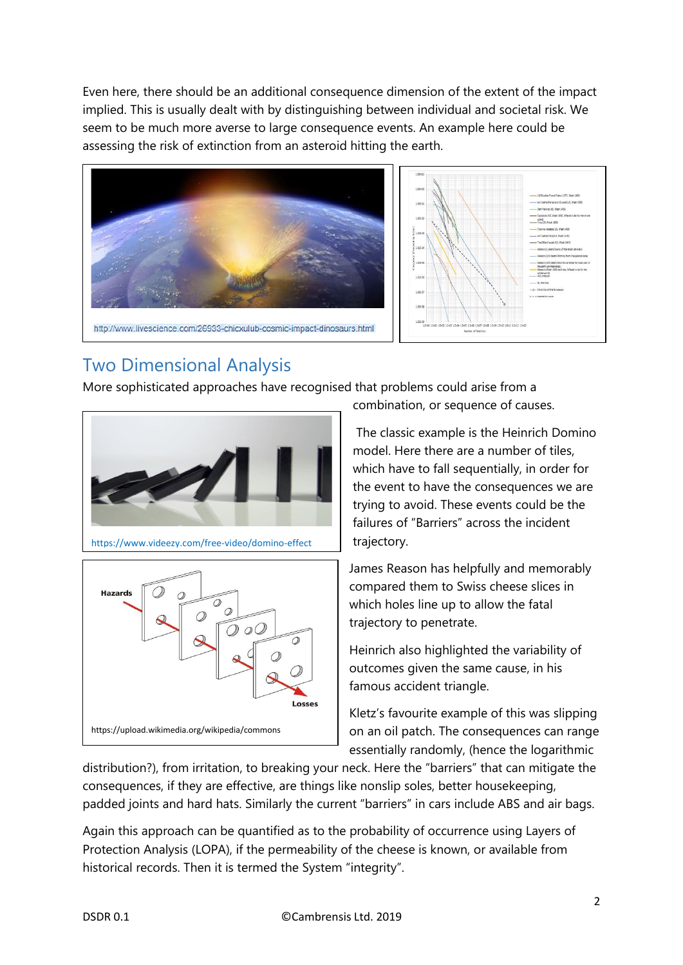Even here, there should be an additional consequence dimension of the extent of the impact implied. This is usually dealt with by distinguishing between individual and societal risk. We seem to be much more averse to large consequence events. An example here could be assessing the risk of extinction from an asteroid hitting the earth.



## Two Dimensional Analysis

More sophisticated approaches have recognised that problems could arise from a



https://www.videezy.com/free-video/domino-effect



combination, or sequence of causes.

The classic example is the Heinrich Domino model. Here there are a number of tiles, which have to fall sequentially, in order for the event to have the consequences we are trying to avoid. These events could be the failures of "Barriers" across the incident trajectory.

James Reason has helpfully and memorably compared them to Swiss cheese slices in which holes line up to allow the fatal trajectory to penetrate.

Heinrich also highlighted the variability of outcomes given the same cause, in his famous accident triangle.

Kletz's favourite example of this was slipping on an oil patch. The consequences can range essentially randomly, (hence the logarithmic

distribution?), from irritation, to breaking your neck. Here the "barriers" that can mitigate the consequences, if they are effective, are things like nonslip soles, better housekeeping, padded joints and hard hats. Similarly the current "barriers" in cars include ABS and air bags.

Again this approach can be quantified as to the probability of occurrence using Layers of Protection Analysis (LOPA), if the permeability of the cheese is known, or available from historical records. Then it is termed the System "integrity".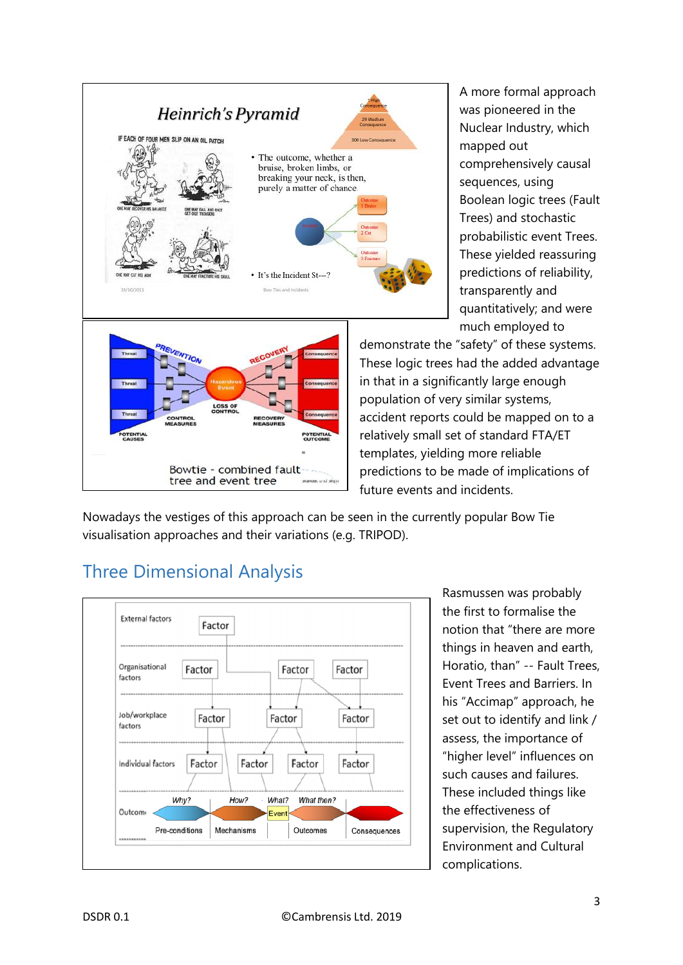

A more formal approach was pioneered in the Nuclear Industry, which mapped out comprehensively causal sequences, using Boolean logic trees (Fault Trees) and stochastic probabilistic event Trees. These yielded reassuring predictions of reliability, transparently and quantitatively; and were much employed to

demonstrate the "safety" of these systems. These logic trees had the added advantage in that in a significantly large enough population of very similar systems, accident reports could be mapped on to a relatively small set of standard FTA/ET templates, yielding more reliable predictions to be made of implications of future events and incidents.

Nowadays the vestiges of this approach can be seen in the currently popular Bow Tie visualisation approaches and their variations (e.g. TRIPOD).

crafts: Less aussines

# Three Dimensional Analysis

tree and event tree



Rasmussen was probably the first to formalise the notion that "there are more things in heaven and earth, Horatio, than" -- Fault Trees, Event Trees and Barriers. In his "Accimap" approach, he set out to identify and link / assess, the importance of "higher level" influences on such causes and failures. These included things like the effectiveness of supervision, the Regulatory Environment and Cultural complications.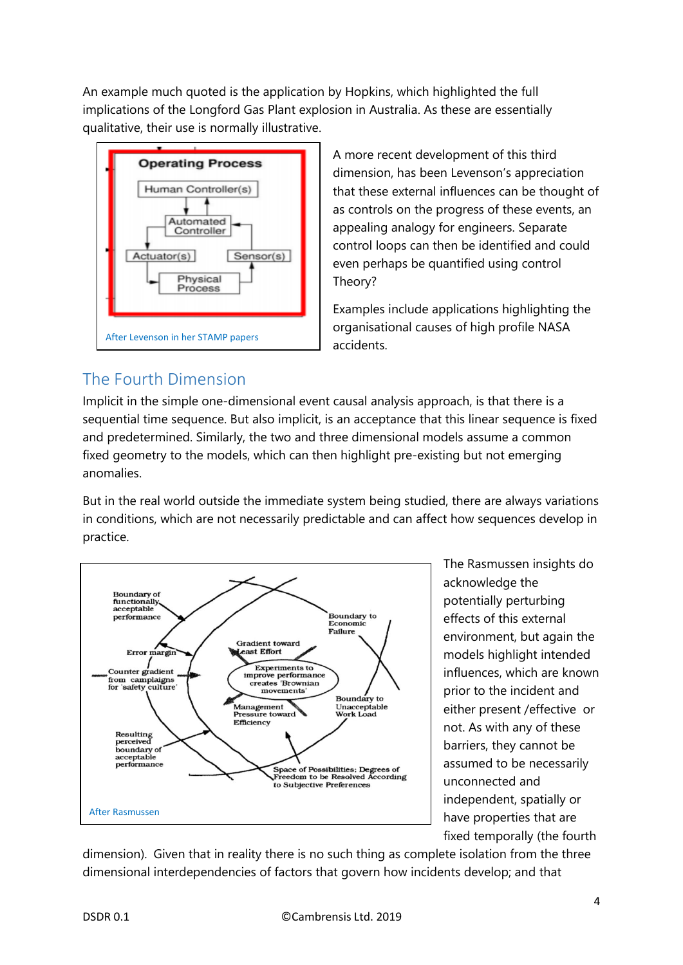An example much quoted is the application by Hopkins, which highlighted the full implications of the Longford Gas Plant explosion in Australia. As these are essentially qualitative, their use is normally illustrative.



A more recent development of this third dimension, has been Levenson's appreciation that these external influences can be thought of as controls on the progress of these events, an appealing analogy for engineers. Separate control loops can then be identified and could even perhaps be quantified using control Theory?

Examples include applications highlighting the organisational causes of high profile NASA accidents.

### The Fourth Dimension

Implicit in the simple one-dimensional event causal analysis approach, is that there is a sequential time sequence. But also implicit, is an acceptance that this linear sequence is fixed and predetermined. Similarly, the two and three dimensional models assume a common fixed geometry to the models, which can then highlight pre-existing but not emerging anomalies.

But in the real world outside the immediate system being studied, there are always variations in conditions, which are not necessarily predictable and can affect how sequences develop in practice.



The Rasmussen insights do acknowledge the potentially perturbing effects of this external environment, but again the models highlight intended influences, which are known prior to the incident and either present /effective or not. As with any of these barriers, they cannot be assumed to be necessarily unconnected and independent, spatially or have properties that are fixed temporally (the fourth

dimension). Given that in reality there is no such thing as complete isolation from the three dimensional interdependencies of factors that govern how incidents develop; and that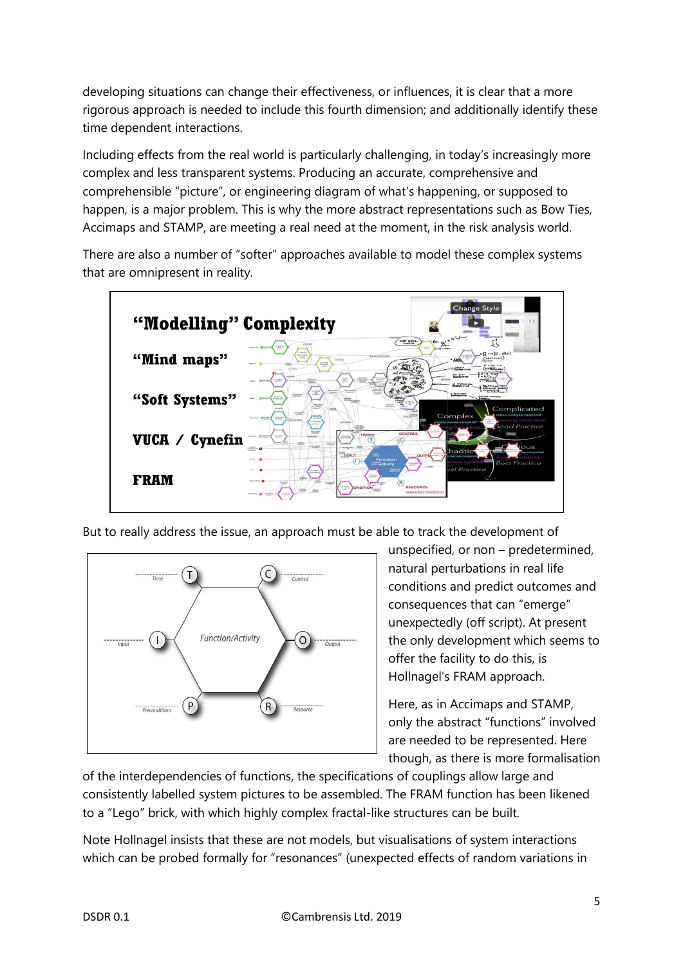developing situations can change their effectiveness, or influences, it is clear that a more rigorous approach is needed to include this fourth dimension; and additionally identify these time dependent interactions.

Including effects from the real world is particularly challenging, in today's increasingly more complex and less transparent systems. Producing an accurate, comprehensive and comprehensible "picture", or engineering diagram of what's happening, or supposed to happen, is a major problem. This is why the more abstract representations such as Bow Ties, Accimaps and STAMP, are meeting a real need at the moment, in the risk analysis world.

There are also a number of "softer" approaches available to model these complex systems that are omnipresent in reality.



But to really address the issue, an approach must be able to track the development of



unspecified, or non – predetermined, natural perturbations in real life conditions and predict outcomes and consequences that can "emerge" unexpectedly (off script). At present the only development which seems to offer the facility to do this, is Hollnagel's FRAM approach.

Here, as in Accimaps and STAMP, only the abstract "functions" involved are needed to be represented. Here though, as there is more formalisation

of the interdependencies of functions, the specifications of couplings allow large and consistently labelled system pictures to be assembled. The FRAM function has been likened to a "Lego" brick, with which highly complex fractal-like structures can be built.

Note Hollnagel insists that these are not models, but visualisations of system interactions which can be probed formally for "resonances" (unexpected effects of random variations in